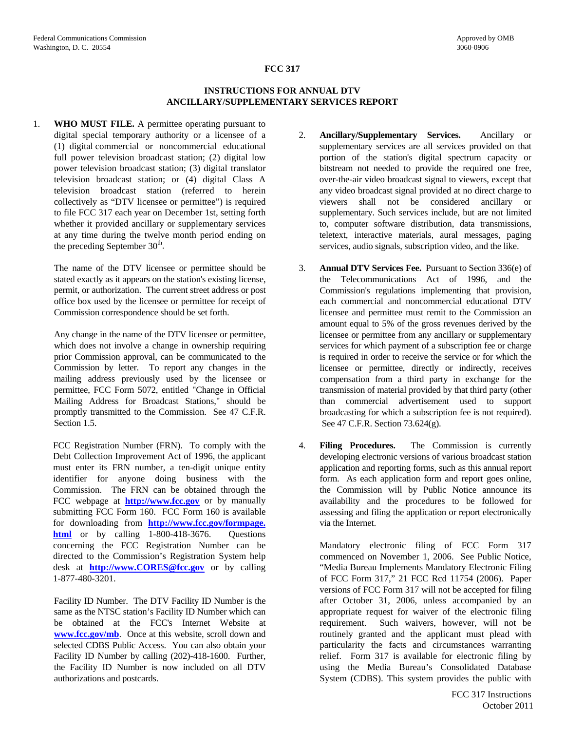# **FCC 317**

### **INSTRUCTIONS FOR ANNUAL DTV ANCILLARY/SUPPLEMENTARY SERVICES REPORT**

1. **WHO MUST FILE.** A permittee operating pursuant to digital special temporary authority or a licensee of a (1) digital commercial or noncommercial educational full power television broadcast station; (2) digital low power television broadcast station; (3) digital translator television broadcast station; or (4) digital Class A television broadcast station (referred to herein collectively as "DTV licensee or permittee") is required to file FCC 317 each year on December 1st, setting forth whether it provided ancillary or supplementary services at any time during the twelve month period ending on the preceding September  $30<sup>th</sup>$ .

 The name of the DTV licensee or permittee should be stated exactly as it appears on the station's existing license, permit, or authorization. The current street address or post office box used by the licensee or permittee for receipt of Commission correspondence should be set forth.

 Any change in the name of the DTV licensee or permittee, which does not involve a change in ownership requiring prior Commission approval, can be communicated to the Commission by letter. To report any changes in the mailing address previously used by the licensee or permittee, FCC Form 5072, entitled "Change in Official Mailing Address for Broadcast Stations," should be promptly transmitted to the Commission. See 47 C.F.R. Section 1.5.

FCC Registration Number (FRN). To comply with the Debt Collection Improvement Act of 1996, the applicant must enter its FRN number, a ten-digit unique entity identifier for anyone doing business with the Commission. The FRN can be obtained through the FCC webpage at **[http://www.fcc.gov](http://www.fcc.gov/)** or by manually submitting FCC Form 160. FCC Form 160 is available for downloading from **[http://www.fcc.gov/formpage.](http://www.fcc.gov/formpage.html)  [html](http://www.fcc.gov/formpage.html)** or by calling 1-800-418-3676. Questions concerning the FCC Registration Number can be directed to the Commission's Registration System help desk at **[http://www.CORES@fcc.gov](http://www.CORES@fcc.gov/)** or by calling 1-877-480-3201.

 Facility ID Number. The DTV Facility ID Number is the same as the NTSC station's Facility ID Number which can be obtained at the FCC's Internet Website at **[www.fcc.gov/mb](http://www.fcc.gov/mmb)**. Once at this website, scroll down and selected CDBS Public Access. You can also obtain your Facility ID Number by calling (202)-418-1600. Further, the Facility ID Number is now included on all DTV authorizations and postcards.

- 2. **Ancillary/Supplementary Services.** Ancillary or supplementary services are all services provided on that portion of the station's digital spectrum capacity or bitstream not needed to provide the required one free, over-the-air video broadcast signal to viewers, except that any video broadcast signal provided at no direct charge to viewers shall not be considered ancillary or supplementary. Such services include, but are not limited to, computer software distribution, data transmissions, teletext, interactive materials, aural messages, paging services, audio signals, subscription video, and the like.
- 3. **Annual DTV Services Fee.** Pursuant to Section 336(e) of the Telecommunications Act of 1996, and the Commission's regulations implementing that provision, each commercial and noncommercial educational DTV licensee and permittee must remit to the Commission an amount equal to 5% of the gross revenues derived by the licensee or permittee from any ancillary or supplementary services for which payment of a subscription fee or charge is required in order to receive the service or for which the licensee or permittee, directly or indirectly, receives compensation from a third party in exchange for the transmission of material provided by that third party (other than commercial advertisement used to support broadcasting for which a subscription fee is not required). See 47 C.F.R. Section 73.624(g).
- 4. **Filing Procedures.** The Commission is currently developing electronic versions of various broadcast station application and reporting forms, such as this annual report form. As each application form and report goes online, the Commission will by Public Notice announce its availability and the procedures to be followed for assessing and filing the application or report electronically via the Internet.

 Mandatory electronic filing of FCC Form 317 commenced on November 1, 2006. See Public Notice, "Media Bureau Implements Mandatory Electronic Filing of FCC Form 317," 21 FCC Rcd 11754 (2006). Paper versions of FCC Form 317 will not be accepted for filing after October 31, 2006, unless accompanied by an appropriate request for waiver of the electronic filing requirement. Such waivers, however, will not be routinely granted and the applicant must plead with particularity the facts and circumstances warranting relief. Form 317 is available for electronic filing by using the Media Bureau's Consolidated Database System (CDBS). This system provides the public with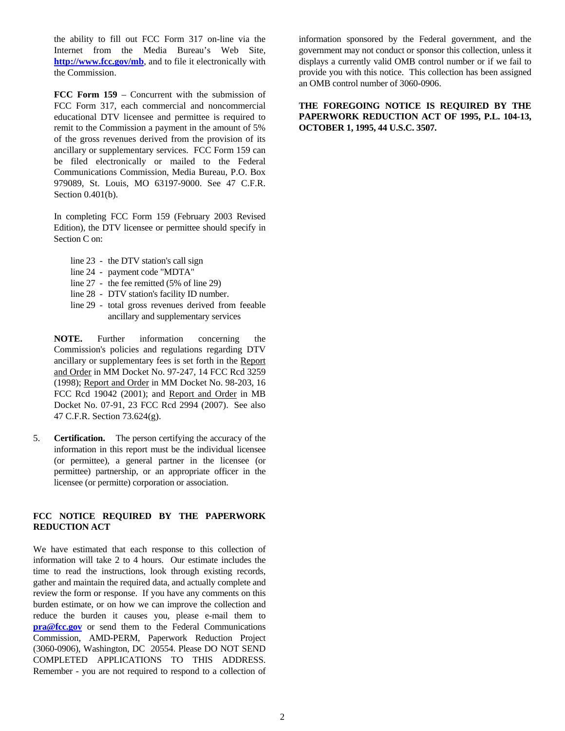the ability to fill out FCC Form 317 on-line via the Internet from the Media Bureau's Web Site, <http://www.fcc.gov/mb>, and to file it electronically with the Commission.

**FCC Form 159** – Concurrent with the submission of FCC Form 317, each commercial and noncommercial educational DTV licensee and permittee is required to remit to the Commission a payment in the amount of 5% of the gross revenues derived from the provision of its ancillary or supplementary services. FCC Form 159 can be filed electronically or mailed to the Federal Communications Commission, Media Bureau, P.O. Box 979089, St. Louis, MO 63197-9000. See 47 C.F.R. Section 0.401(b).

 In completing FCC Form 159 (February 2003 Revised Edition), the DTV licensee or permittee should specify in Section C on:

- line 23 the DTV station's call sign
- line 24 payment code "MDTA"
- line 27 the fee remitted (5% of line 29)
- line 28 DTV station's facility ID number.
- line 29 total gross revenues derived from feeable ancillary and supplementary services

 **NOTE.** Further information concerning the Commission's policies and regulations regarding DTV ancillary or supplementary fees is set forth in the Report and Order in MM Docket No. 97-247, 14 FCC Rcd 3259 (1998); Report and Order in MM Docket No. 98-203, 16 FCC Rcd 19042 (2001); and Report and Order in MB Docket No. 07-91, 23 FCC Rcd 2994 (2007). See also 47 C.F.R. Section 73.624(g).

5. **Certification.** The person certifying the accuracy of the information in this report must be the individual licensee (or permittee), a general partner in the licensee (or permittee) partnership, or an appropriate officer in the licensee (or permitte) corporation or association.

### **FCC NOTICE REQUIRED BY THE PAPERWORK REDUCTION ACT**

We have estimated that each response to this collection of information will take 2 to 4 hours. Our estimate includes the time to read the instructions, look through existing records, gather and maintain the required data, and actually complete and review the form or response. If you have any comments on this burden estimate, or on how we can improve the collection and reduce the burden it causes you, please e-mail them to **[pra@fcc.gov](mailto:pra@fcc.gov)** or send them to the Federal Communications Commission, AMD-PERM, Paperwork Reduction Project (3060-0906), Washington, DC 20554. Please DO NOT SEND COMPLETED APPLICATIONS TO THIS ADDRESS. Remember - you are not required to respond to a collection of

information sponsored by the Federal government, and the government may not conduct or sponsor this collection, unless it displays a currently valid OMB control number or if we fail to provide you with this notice. This collection has been assigned an OMB control number of 3060-0906.

**THE FOREGOING NOTICE IS REQUIRED BY THE PAPERWORK REDUCTION ACT OF 1995, P.L. 104-13, OCTOBER 1, 1995, 44 U.S.C. 3507.**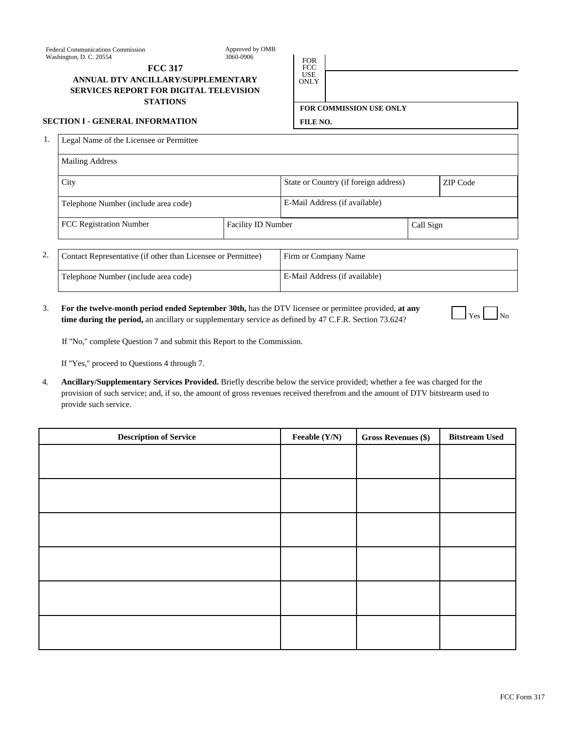Approved by OMB 3060-0906 FOR

**FCC 317** FCC

## USE **ANNUAL DTV ANCILLARY/SUPPLEMENTARY SERVICES REPORT FOR DIGITAL TELEVISION STATIONS**

#### **SECTION I - GENERAL INFORMATION FILE NO.**

1. Legal Name of the Licensee or Permittee

| <b>Mailing Address</b>               |                           |                                       |           |          |
|--------------------------------------|---------------------------|---------------------------------------|-----------|----------|
| City                                 |                           | State or Country (if foreign address) |           | ZIP Code |
| Telephone Number (include area code) |                           | E-Mail Address (if available)         |           |          |
| <b>FCC Registration Number</b>       | <b>Facility ID Number</b> |                                       | Call Sign |          |
|                                      |                           |                                       |           |          |

USE<br>ONLY

**FOR COMMISSION USE ONLY**

| ۷. | Contact Representative (if other than Licensee or Permittee) | Firm or Company Name          |
|----|--------------------------------------------------------------|-------------------------------|
|    | Telephone Number (include area code)                         | E-Mail Address (if available) |

**For the twelve-month period ended September 30th,** has the DTV licensee or permittee provided, **at any time during the period,** an ancillary or supplementary service as defined by 47 C.F.R. Section 73.624? 3.

|--|--|

If ''No,'' complete Question 7 and submit this Report to the Commission.

If ''Yes,'' proceed to Questions 4 through 7.

**Ancillary/Supplementary Services Provided.** Briefly describe below the service provided; whether a fee was charged for the provision of such service; and, if so, the amount of gross revenues received therefrom and the amount of DTV bitstrearm used to provide such service. 4.

| <b>Description of Service</b> | Feeable (Y/N) | <b>Gross Revenues (\$)</b> | <b>Bitstream Used</b> |
|-------------------------------|---------------|----------------------------|-----------------------|
|                               |               |                            |                       |
|                               |               |                            |                       |
|                               |               |                            |                       |
|                               |               |                            |                       |
|                               |               |                            |                       |
|                               |               |                            |                       |
|                               |               |                            |                       |
|                               |               |                            |                       |
|                               |               |                            |                       |
|                               |               |                            |                       |
|                               |               |                            |                       |
|                               |               |                            |                       |